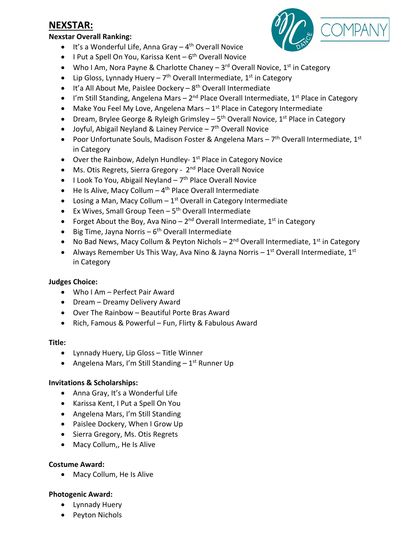## **NEXSTAR:**

#### **Nexstar Overall Ranking:**

- $\bullet$  It's a Wonderful Life, Anna Gray 4<sup>th</sup> Overall Novice
- I Put a Spell On You, Karissa Kent  $6<sup>th</sup>$  Overall Novice
- Who I Am, Nora Payne & Charlotte Chaney  $-3^{rd}$  Overall Novice, 1<sup>st</sup> in Category
- Lip Gloss, Lynnady Huery  $7<sup>th</sup>$  Overall Intermediate, 1<sup>st</sup> in Category
- $\bullet$  It'a All About Me, Paislee Dockery  $8^{th}$  Overall Intermediate
- I'm Still Standing, Angelena Mars  $2^{nd}$  Place Overall Intermediate,  $1^{st}$  Place in Category
- Make You Feel My Love, Angelena Mars  $-1^{st}$  Place in Category Intermediate
- Dream, Brylee George & Ryleigh Grimsley  $5<sup>th</sup>$  Overall Novice,  $1<sup>st</sup>$  Place in Category
- Joyful, Abigail Neyland & Lainey Pervice  $-7$ <sup>th</sup> Overall Novice
- Poor Unfortunate Souls, Madison Foster & Angelena Mars  $7<sup>th</sup>$  Overall Intermediate,  $1<sup>st</sup>$ in Category
- Over the Rainbow, Adelyn Hundley- $1<sup>st</sup>$  Place in Category Novice
- Ms. Otis Regrets, Sierra Gregory 2<sup>nd</sup> Place Overall Novice
- I Look To You, Abigail Neyland  $-7<sup>th</sup>$  Place Overall Novice
- $\bullet$  He Is Alive, Macy Collum 4<sup>th</sup> Place Overall Intermediate
- Losing a Man, Macy Collum  $-1$ <sup>st</sup> Overall in Category Intermediate
- Ex Wives, Small Group Teen  $-5<sup>th</sup>$  Overall Intermediate
- Forget About the Boy, Ava Nino  $2^{nd}$  Overall Intermediate,  $1^{st}$  in Category
- Big Time, Jayna Norris  $6<sup>th</sup>$  Overall Intermediate
- No Bad News, Macy Collum & Peyton Nichols  $2^{nd}$  Overall Intermediate,  $1^{st}$  in Category
- Always Remember Us This Way, Aya Nino & Jayna Norris  $1<sup>st</sup>$  Overall Intermediate,  $1<sup>st</sup>$ in Category

### **Judges Choice:**

- Who I Am Perfect Pair Award
- Dream Dreamy Delivery Award
- Over The Rainbow Beautiful Porte Bras Award
- Rich, Famous & Powerful Fun, Flirty & Fabulous Award

### **Title:**

- Lynnady Huery, Lip Gloss Title Winner
- Angelena Mars, I'm Still Standing  $-1<sup>st</sup>$  Runner Up

### **Invitations & Scholarships:**

- Anna Gray, It's a Wonderful Life
- Karissa Kent, I Put a Spell On You
- Angelena Mars, I'm Still Standing
- Paislee Dockery, When I Grow Up
- Sierra Gregory, Ms. Otis Regrets
- Macy Collum,, He Is Alive

### **Costume Award:**

• Macy Collum, He Is Alive

### **Photogenic Award:**

- Lynnady Huery
- Peyton Nichols

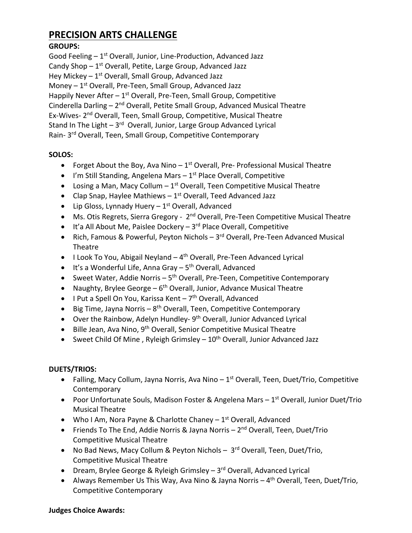## **PRECISION ARTS CHALLENGE**

## **GROUPS:**

Good Feeling  $-1<sup>st</sup>$  Overall, Junior, Line-Production, Advanced Jazz Candy Shop  $-1^{st}$  Overall, Petite, Large Group, Advanced Jazz Hey Mickey  $-1<sup>st</sup>$  Overall, Small Group, Advanced Jazz Money  $-1$ <sup>st</sup> Overall, Pre-Teen, Small Group, Advanced Jazz Happily Never After  $-1^{st}$  Overall, Pre-Teen, Small Group, Competitive Cinderella Darling – 2nd Overall, Petite Small Group, Advanced Musical Theatre Ex-Wives- 2<sup>nd</sup> Overall, Teen, Small Group, Competitive, Musical Theatre Stand In The Light  $-3<sup>rd</sup>$  Overall, Junior, Large Group Advanced Lyrical Rain- 3rd Overall, Teen, Small Group, Competitive Contemporary

## **SOLOS:**

- Forget About the Boy, Ava Nino  $-1^{st}$  Overall, Pre- Professional Musical Theatre
- I'm Still Standing, Angelena Mars  $-1^{st}$  Place Overall, Competitive
- Losing a Man, Macy Collum  $-1^{st}$  Overall, Teen Competitive Musical Theatre
- Clap Snap, Haylee Mathiews  $-1$ <sup>st</sup> Overall, Teed Advanced Jazz
- Lip Gloss, Lynnady Huery  $-1<sup>st</sup>$  Overall, Advanced
- Ms. Otis Regrets, Sierra Gregory 2<sup>nd</sup> Overall, Pre-Teen Competitive Musical Theatre
- $\bullet$  It's All About Me, Paislee Dockery 3<sup>rd</sup> Place Overall, Competitive
- Rich, Famous & Powerful, Peyton Nichols 3<sup>rd</sup> Overall, Pre-Teen Advanced Musical Theatre
- I Look To You, Abigail Neyland  $-4$ <sup>th</sup> Overall, Pre-Teen Advanced Lyrical
- $\bullet$  It's a Wonderful Life, Anna Gray 5<sup>th</sup> Overall, Advanced
- Sweet Water, Addie Norris  $5<sup>th</sup>$  Overall, Pre-Teen, Competitive Contemporary
- Naughty, Brylee George  $6<sup>th</sup>$  Overall, Junior, Advance Musical Theatre
- I Put a Spell On You, Karissa Kent  $7<sup>th</sup>$  Overall, Advanced
- Big Time, Jayna Norris  $8<sup>th</sup>$  Overall, Teen, Competitive Contemporary
- Over the Rainbow, Adelyn Hundley- $9<sup>th</sup>$  Overall, Junior Advanced Lyrical
- Bille Jean, Ava Nino, 9<sup>th</sup> Overall, Senior Competitive Musical Theatre
- Sweet Child Of Mine, Ryleigh Grimsley  $-10^{th}$  Overall, Junior Advanced Jazz

### **DUETS/TRIOS:**

- Falling, Macy Collum, Jayna Norris, Ava Nino  $-1^{st}$  Overall, Teen, Duet/Trio, Competitive **Contemporary**
- Poor Unfortunate Souls, Madison Foster & Angelena Mars 1<sup>st</sup> Overall, Junior Duet/Trio Musical Theatre
- Who I Am, Nora Payne & Charlotte Chaney  $-1$ <sup>st</sup> Overall, Advanced
- Friends To The End, Addie Norris & Jayna Norris  $2<sup>nd</sup>$  Overall, Teen, Duet/Trio Competitive Musical Theatre
- No Bad News, Macy Collum & Peyton Nichols 3<sup>rd</sup> Overall, Teen, Duet/Trio, Competitive Musical Theatre
- Dream, Brylee George & Ryleigh Grimsley  $3<sup>rd</sup>$  Overall, Advanced Lyrical
- Always Remember Us This Way, Ava Nino & Jayna Norris  $-4$ <sup>th</sup> Overall, Teen, Duet/Trio, Competitive Contemporary

### **Judges Choice Awards:**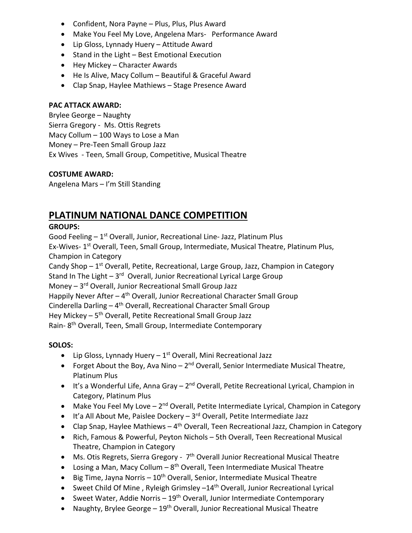- Confident, Nora Payne Plus, Plus, Plus Award
- Make You Feel My Love, Angelena Mars- Performance Award
- Lip Gloss, Lynnady Huery Attitude Award
- Stand in the Light Best Emotional Execution
- Hey Mickey Character Awards
- He Is Alive, Macy Collum Beautiful & Graceful Award
- Clap Snap, Haylee Mathiews Stage Presence Award

### **PAC ATTACK AWARD:**

Brylee George – Naughty Sierra Gregory - Ms. Ottis Regrets Macy Collum – 100 Ways to Lose a Man Money – Pre-Teen Small Group Jazz Ex Wives - Teen, Small Group, Competitive, Musical Theatre

### **COSTUME AWARD:**

Angelena Mars – I'm Still Standing

# **PLATINUM NATIONAL DANCE COMPETITION**

## **GROUPS:**

Good Feeling  $-1<sup>st</sup>$  Overall, Junior, Recreational Line-Jazz, Platinum Plus Ex-Wives- 1<sup>st</sup> Overall, Teen, Small Group, Intermediate, Musical Theatre, Platinum Plus, Champion in Category Candy Shop  $-1^{st}$  Overall, Petite, Recreational, Large Group, Jazz, Champion in Category Stand In The Light  $-3$ <sup>rd</sup> Overall, Junior Recreational Lyrical Large Group Money – 3rd Overall, Junior Recreational Small Group Jazz Happily Never After  $-4$ <sup>th</sup> Overall, Junior Recreational Character Small Group Cinderella Darling  $-4$ <sup>th</sup> Overall, Recreational Character Small Group Hey Mickey – 5<sup>th</sup> Overall, Petite Recreational Small Group Jazz Rain-8<sup>th</sup> Overall, Teen, Small Group, Intermediate Contemporary

### **SOLOS:**

- Lip Gloss, Lynnady Huery  $-1^{st}$  Overall, Mini Recreational Jazz
- Forget About the Boy, Ava Nino  $-2^{nd}$  Overall, Senior Intermediate Musical Theatre, Platinum Plus
- $\bullet$  It's a Wonderful Life, Anna Gray 2<sup>nd</sup> Overall, Petite Recreational Lyrical, Champion in Category, Platinum Plus
- Make You Feel My Love  $-2^{nd}$  Overall, Petite Intermediate Lyrical, Champion in Category
- $\bullet$  It'a All About Me, Paislee Dockery 3<sup>rd</sup> Overall, Petite Intermediate Jazz
- Clap Snap, Haylee Mathiews  $-4$ <sup>th</sup> Overall, Teen Recreational Jazz, Champion in Category
- Rich, Famous & Powerful, Peyton Nichols 5th Overall, Teen Recreational Musical Theatre, Champion in Category
- Ms. Otis Regrets, Sierra Gregory 7<sup>th</sup> Overall Junior Recreational Musical Theatre
- Losing a Man, Macy Collum  $8<sup>th</sup>$  Overall, Teen Intermediate Musical Theatre
- Big Time, Jayna Norris  $10^{th}$  Overall, Senior, Intermediate Musical Theatre
- Sweet Child Of Mine, Ryleigh Grimsley -14<sup>th</sup> Overall, Junior Recreational Lyrical
- Sweet Water, Addie Norris  $19<sup>th</sup>$  Overall, Junior Intermediate Contemporary
- Naughty, Brylee George  $-19<sup>th</sup>$  Overall, Junior Recreational Musical Theatre